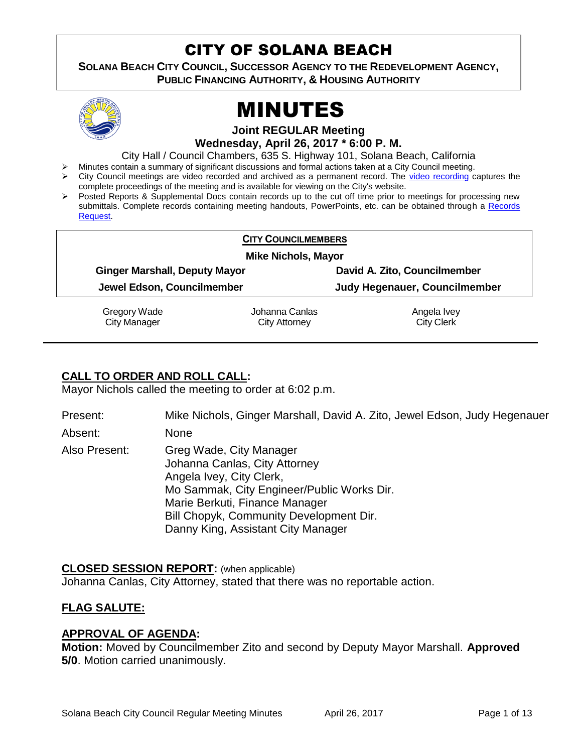# CITY OF SOLANA BEACH

**SOLANA BEACH CITY COUNCIL, SUCCESSOR AGENCY TO THE REDEVELOPMENT AGENCY, PUBLIC FINANCING AUTHORITY, & HOUSING AUTHORITY** 



# MINUTES

**Joint REGULAR Meeting**

**Wednesday, April 26, 2017 \* 6:00 P. M.**

City Hall / Council Chambers, 635 S. Highway 101, Solana Beach, California

- Minutes contain a summary of significant discussions and formal actions taken at a City Council meeting.
- City Council meetings are video recorded and archived as a permanent record. The [video recording](https://solanabeach.12milesout.com/video/meeting/89e2d778-80ae-4228-978d-1d13089ad9e7) captures the complete proceedings of the meeting and is available for viewing on the City's website.
- Posted Reports & Supplemental Docs contain records up to the cut off time prior to meetings for processing new submittals. Complete records containing meeting handouts, PowerPoints, etc. can be obtained through a Records [Request.](http://www.ci.solana-beach.ca.us/index.asp?SEC=F5D45D10-70CE-4291-A27C-7BD633FC6742&Type=B_BASIC)

| <b>CITY COUNCILMEMBERS</b><br><b>Mike Nichols, Mayor</b> |                |                                      |
|----------------------------------------------------------|----------------|--------------------------------------|
|                                                          |                |                                      |
| Jewel Edson, Councilmember                               |                | <b>Judy Hegenauer, Councilmember</b> |
| Gregory Wade                                             | Johanna Canlas | Angela Ivey                          |
| <b>City Manager</b>                                      | City Attorney  | <b>City Clerk</b>                    |

# **CALL TO ORDER AND ROLL CALL:**

Mayor Nichols called the meeting to order at 6:02 p.m.

Present: Mike Nichols, Ginger Marshall, David A. Zito, Jewel Edson, Judy Hegenauer

Absent: None

Also Present: Greg Wade, City Manager Johanna Canlas, City Attorney Angela Ivey, City Clerk, Mo Sammak, City Engineer/Public Works Dir. Marie Berkuti, Finance Manager Bill Chopyk, Community Development Dir. Danny King, Assistant City Manager

**CLOSED SESSION REPORT:** (when applicable) Johanna Canlas, City Attorney, stated that there was no reportable action.

# **FLAG SALUTE:**

# **APPROVAL OF AGENDA:**

**Motion:** Moved by Councilmember Zito and second by Deputy Mayor Marshall. **Approved 5/0**. Motion carried unanimously.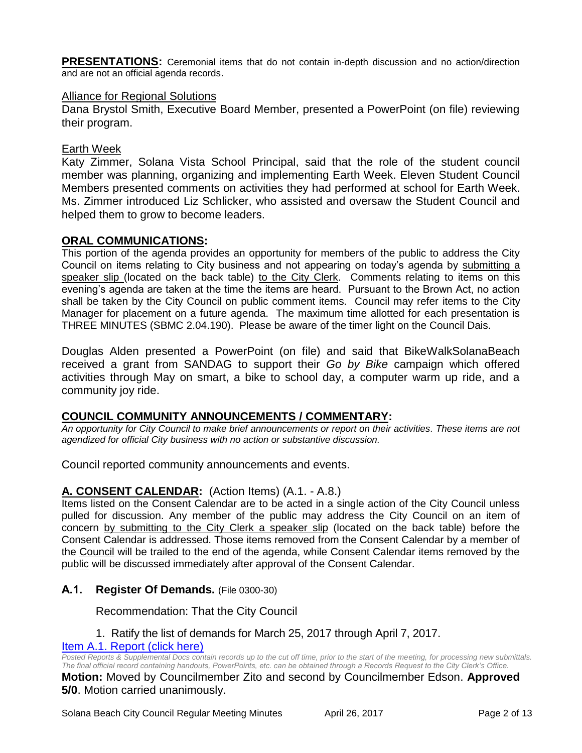**PRESENTATIONS:** Ceremonial items that do not contain in-depth discussion and no action/direction and are not an official agenda records.

#### Alliance for Regional Solutions

Dana Brystol Smith, Executive Board Member, presented a PowerPoint (on file) reviewing their program.

#### Earth Week

Katy Zimmer, Solana Vista School Principal, said that the role of the student council member was planning, organizing and implementing Earth Week. Eleven Student Council Members presented comments on activities they had performed at school for Earth Week. Ms. Zimmer introduced Liz Schlicker, who assisted and oversaw the Student Council and helped them to grow to become leaders.

#### **ORAL COMMUNICATIONS:**

This portion of the agenda provides an opportunity for members of the public to address the City Council on items relating to City business and not appearing on today's agenda by submitting a speaker slip (located on the back table) to the City Clerk. Comments relating to items on this evening's agenda are taken at the time the items are heard. Pursuant to the Brown Act, no action shall be taken by the City Council on public comment items. Council may refer items to the City Manager for placement on a future agenda. The maximum time allotted for each presentation is THREE MINUTES (SBMC 2.04.190). Please be aware of the timer light on the Council Dais.

Douglas Alden presented a PowerPoint (on file) and said that BikeWalkSolanaBeach received a grant from SANDAG to support their *Go by Bike* campaign which offered activities through May on smart, a bike to school day, a computer warm up ride, and a community joy ride.

#### **COUNCIL COMMUNITY ANNOUNCEMENTS / COMMENTARY:**

*An opportunity for City Council to make brief announcements or report on their activities. These items are not agendized for official City business with no action or substantive discussion.* 

Council reported community announcements and events.

# **A. CONSENT CALENDAR:** (Action Items) (A.1. - A.8.)

Items listed on the Consent Calendar are to be acted in a single action of the City Council unless pulled for discussion. Any member of the public may address the City Council on an item of concern by submitting to the City Clerk a speaker slip (located on the back table) before the Consent Calendar is addressed. Those items removed from the Consent Calendar by a member of the Council will be trailed to the end of the agenda, while Consent Calendar items removed by the public will be discussed immediately after approval of the Consent Calendar.

#### **A.1. Register Of Demands.** (File 0300-30)

#### Recommendation: That the City Council

1. Ratify the list of demands for March 25, 2017 through April 7, 2017.

#### [Item A.1. Report \(click here\)](https://solanabeach.govoffice3.com/vertical/Sites/%7B840804C2-F869-4904-9AE3-720581350CE7%7D/uploads/Item_A.1._Report_(click_here)_4-26-17.pdf)

*Posted Reports & Supplemental Docs contain records up to the cut off time, prior to the start of the meeting, for processing new submittals. The final official record containing handouts, PowerPoints, etc. can be obtained through a Records Request to the City Clerk's Office.*

**Motion:** Moved by Councilmember Zito and second by Councilmember Edson. **Approved 5/0**. Motion carried unanimously.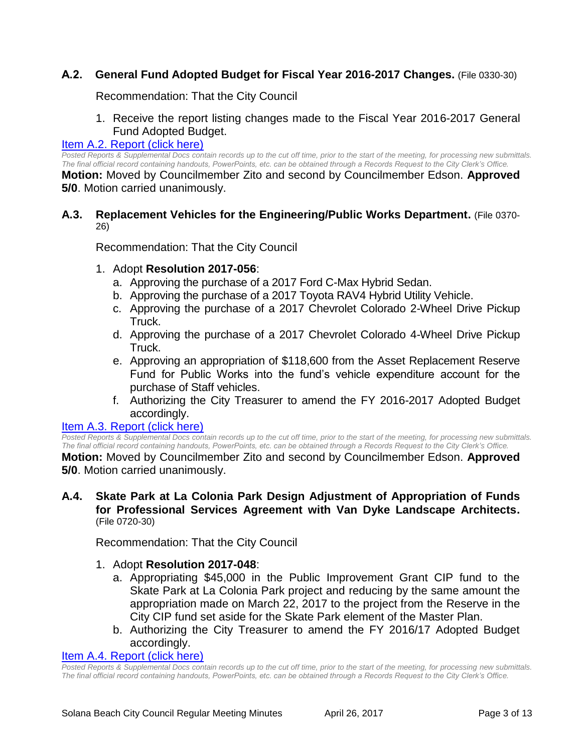# **A.2. General Fund Adopted Budget for Fiscal Year 2016-2017 Changes.** (File 0330-30)

Recommendation: That the City Council

1. Receive the report listing changes made to the Fiscal Year 2016-2017 General Fund Adopted Budget.

#### [Item A.2. Report \(click here\)](https://solanabeach.govoffice3.com/vertical/Sites/%7B840804C2-F869-4904-9AE3-720581350CE7%7D/uploads/Item_A.2._Report_(click_here)_4-26-17.pdf)

*Posted Reports & Supplemental Docs contain records up to the cut off time, prior to the start of the meeting, for processing new submittals. The final official record containing handouts, PowerPoints, etc. can be obtained through a Records Request to the City Clerk's Office.*

**Motion:** Moved by Councilmember Zito and second by Councilmember Edson. **Approved 5/0**. Motion carried unanimously.

## **A.3. Replacement Vehicles for the Engineering/Public Works Department.** (File 0370- 26)

Recommendation: That the City Council

#### 1. Adopt **Resolution 2017-056**:

- a. Approving the purchase of a 2017 Ford C-Max Hybrid Sedan.
- b. Approving the purchase of a 2017 Toyota RAV4 Hybrid Utility Vehicle.
- c. Approving the purchase of a 2017 Chevrolet Colorado 2-Wheel Drive Pickup Truck.
- d. Approving the purchase of a 2017 Chevrolet Colorado 4-Wheel Drive Pickup Truck.
- e. Approving an appropriation of \$118,600 from the Asset Replacement Reserve Fund for Public Works into the fund's vehicle expenditure account for the purchase of Staff vehicles.
- f. Authorizing the City Treasurer to amend the FY 2016-2017 Adopted Budget accordingly.

#### [Item A.3. Report \(click here\)](https://solanabeach.govoffice3.com/vertical/Sites/%7B840804C2-F869-4904-9AE3-720581350CE7%7D/uploads/Item_A.3._Report_(click_here)_4-26-17.PDF)

*Posted Reports & Supplemental Docs contain records up to the cut off time, prior to the start of the meeting, for processing new submittals. The final official record containing handouts, PowerPoints, etc. can be obtained through a Records Request to the City Clerk's Office.*

**Motion:** Moved by Councilmember Zito and second by Councilmember Edson. **Approved 5/0**. Motion carried unanimously.

#### **A.4. Skate Park at La Colonia Park Design Adjustment of Appropriation of Funds for Professional Services Agreement with Van Dyke Landscape Architects.** (File 0720-30)

Recommendation: That the City Council

- 1. Adopt **Resolution 2017-048**:
	- a. Appropriating \$45,000 in the Public Improvement Grant CIP fund to the Skate Park at La Colonia Park project and reducing by the same amount the appropriation made on March 22, 2017 to the project from the Reserve in the City CIP fund set aside for the Skate Park element of the Master Plan.
	- b. Authorizing the City Treasurer to amend the FY 2016/17 Adopted Budget accordingly.

#### [Item A.4. Report \(click here\)](https://solanabeach.govoffice3.com/vertical/Sites/%7B840804C2-F869-4904-9AE3-720581350CE7%7D/uploads/Item_A.4._Report_(click_here)_4-26-17.PDF)

*Posted Reports & Supplemental Docs contain records up to the cut off time, prior to the start of the meeting, for processing new submittals. The final official record containing handouts, PowerPoints, etc. can be obtained through a Records Request to the City Clerk's Office.*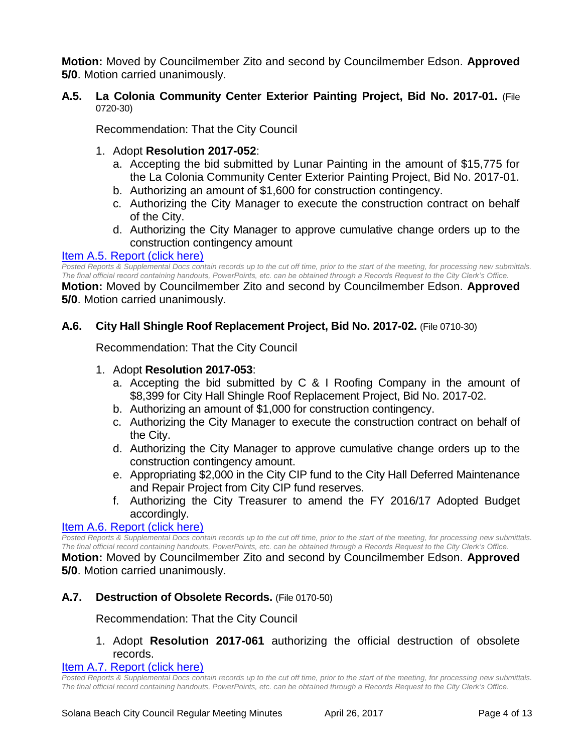**Motion:** Moved by Councilmember Zito and second by Councilmember Edson. **Approved 5/0**. Motion carried unanimously.

# **A.5. La Colonia Community Center Exterior Painting Project, Bid No. 2017-01.** (File 0720-30)

Recommendation: That the City Council

## 1. Adopt **Resolution 2017-052**:

- a. Accepting the bid submitted by Lunar Painting in the amount of \$15,775 for the La Colonia Community Center Exterior Painting Project, Bid No. 2017-01.
- b. Authorizing an amount of \$1,600 for construction contingency.
- c. Authorizing the City Manager to execute the construction contract on behalf of the City.
- d. Authorizing the City Manager to approve cumulative change orders up to the construction contingency amount

#### Item A.5. [Report \(click here\)](https://solanabeach.govoffice3.com/vertical/Sites/%7B840804C2-F869-4904-9AE3-720581350CE7%7D/uploads/Item_A.5._Report_(click_here)_4-26-17.PDF)

*Posted Reports & Supplemental Docs contain records up to the cut off time, prior to the start of the meeting, for processing new submittals. The final official record containing handouts, PowerPoints, etc. can be obtained through a Records Request to the City Clerk's Office.*

**Motion:** Moved by Councilmember Zito and second by Councilmember Edson. **Approved 5/0**. Motion carried unanimously.

## **A.6. City Hall Shingle Roof Replacement Project, Bid No. 2017-02.** (File 0710-30)

Recommendation: That the City Council

#### 1. Adopt **Resolution 2017-053**:

- a. Accepting the bid submitted by C & I Roofing Company in the amount of \$8,399 for City Hall Shingle Roof Replacement Project, Bid No. 2017-02.
- b. Authorizing an amount of \$1,000 for construction contingency.
- c. Authorizing the City Manager to execute the construction contract on behalf of the City.
- d. Authorizing the City Manager to approve cumulative change orders up to the construction contingency amount.
- e. Appropriating \$2,000 in the City CIP fund to the City Hall Deferred Maintenance and Repair Project from City CIP fund reserves.
- f. Authorizing the City Treasurer to amend the FY 2016/17 Adopted Budget accordingly.

#### [Item A.6. Report \(click here\)](https://solanabeach.govoffice3.com/vertical/Sites/%7B840804C2-F869-4904-9AE3-720581350CE7%7D/uploads/Item_A.6._Report_(click_here)_4-26-17.PDF)

*Posted Reports & Supplemental Docs contain records up to the cut off time, prior to the start of the meeting, for processing new submittals. The final official record containing handouts, PowerPoints, etc. can be obtained through a Records Request to the City Clerk's Office.*

**Motion:** Moved by Councilmember Zito and second by Councilmember Edson. **Approved 5/0**. Motion carried unanimously.

#### **A.7. Destruction of Obsolete Records.** (File 0170-50)

Recommendation: That the City Council

## 1. Adopt **Resolution 2017-061** authorizing the official destruction of obsolete records.

#### [Item A.7. Report \(click here\)](https://solanabeach.govoffice3.com/vertical/Sites/%7B840804C2-F869-4904-9AE3-720581350CE7%7D/uploads/Item_A.7._Report_(click_here)_4-26-17.PDF)

*Posted Reports & Supplemental Docs contain records up to the cut off time, prior to the start of the meeting, for processing new submittals. The final official record containing handouts, PowerPoints, etc. can be obtained through a Records Request to the City Clerk's Office.*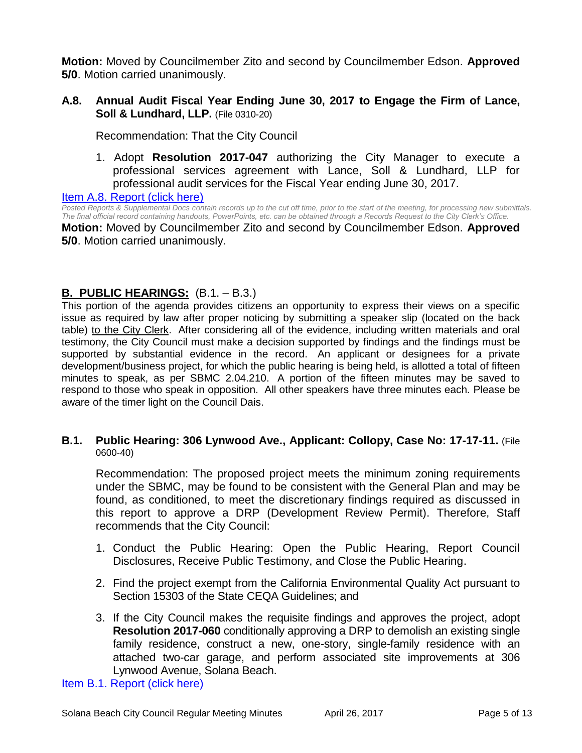**Motion:** Moved by Councilmember Zito and second by Councilmember Edson. **Approved 5/0**. Motion carried unanimously.

**A.8. Annual Audit Fiscal Year Ending June 30, 2017 to Engage the Firm of Lance, Soll & Lundhard, LLP.** (File 0310-20)

Recommendation: That the City Council

1. Adopt **Resolution 2017-047** authorizing the City Manager to execute a professional services agreement with Lance, Soll & Lundhard, LLP for professional audit services for the Fiscal Year ending June 30, 2017.

#### [Item A.8. Report \(click here\)](https://solanabeach.govoffice3.com/vertical/Sites/%7B840804C2-F869-4904-9AE3-720581350CE7%7D/uploads/Item_A.8._Report_(click_here)_4-26-17.PDF)

*Posted Reports & Supplemental Docs contain records up to the cut off time, prior to the start of the meeting, for processing new submittals. The final official record containing handouts, PowerPoints, etc. can be obtained through a Records Request to the City Clerk's Office.* **Motion:** Moved by Councilmember Zito and second by Councilmember Edson. **Approved** 

**5/0**. Motion carried unanimously.

# **B. PUBLIC HEARINGS:** (B.1. – B.3.)

This portion of the agenda provides citizens an opportunity to express their views on a specific issue as required by law after proper noticing by submitting a speaker slip (located on the back table) to the City Clerk. After considering all of the evidence, including written materials and oral testimony, the City Council must make a decision supported by findings and the findings must be supported by substantial evidence in the record. An applicant or designees for a private development/business project, for which the public hearing is being held, is allotted a total of fifteen minutes to speak, as per SBMC 2.04.210. A portion of the fifteen minutes may be saved to respond to those who speak in opposition. All other speakers have three minutes each. Please be aware of the timer light on the Council Dais.

#### **B.1. Public Hearing: 306 Lynwood Ave., Applicant: Collopy, Case No: 17-17-11.** (File 0600-40)

Recommendation: The proposed project meets the minimum zoning requirements under the SBMC, may be found to be consistent with the General Plan and may be found, as conditioned, to meet the discretionary findings required as discussed in this report to approve a DRP (Development Review Permit). Therefore, Staff recommends that the City Council:

- 1. Conduct the Public Hearing: Open the Public Hearing, Report Council Disclosures, Receive Public Testimony, and Close the Public Hearing.
- 2. Find the project exempt from the California Environmental Quality Act pursuant to Section 15303 of the State CEQA Guidelines; and
- 3. If the City Council makes the requisite findings and approves the project, adopt **Resolution 2017-060** conditionally approving a DRP to demolish an existing single family residence, construct a new, one-story, single-family residence with an attached two-car garage, and perform associated site improvements at 306 Lynwood Avenue, Solana Beach.

[Item B.1. Report \(click here\)](https://solanabeach.govoffice3.com/vertical/Sites/%7B840804C2-F869-4904-9AE3-720581350CE7%7D/uploads/Item_B.1._Report_(click_here)_4-26-17.PDF)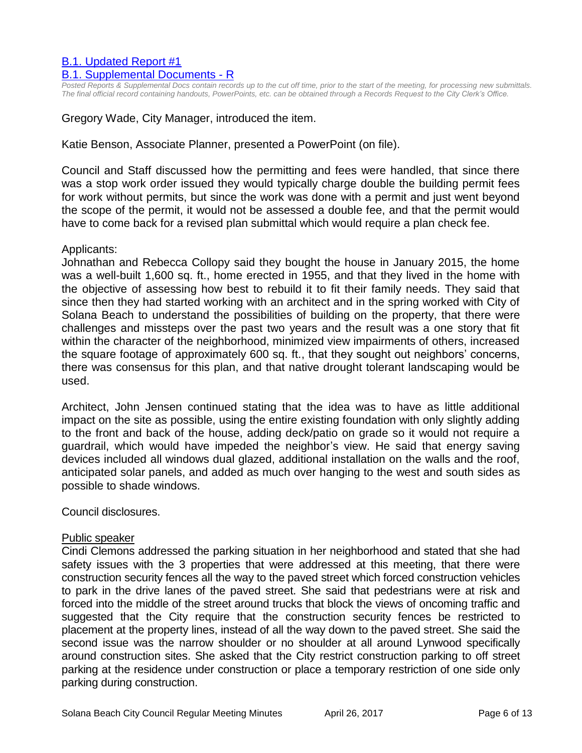# [B.1. Updated Report #1](https://solanabeach.govoffice3.com/vertical/Sites/%7B840804C2-F869-4904-9AE3-720581350CE7%7D/uploads/B.1._Updated_Report_1_4-26-17.pdf)

#### [B.1. Supplemental Documents -](https://solanabeach.govoffice3.com/vertical/Sites/%7B840804C2-F869-4904-9AE3-720581350CE7%7D/uploads/B.1._Supplemental_Documents_-_R_4-26-17.pdf) R

*Posted Reports & Supplemental Docs contain records up to the cut off time, prior to the start of the meeting, for processing new submittals. The final official record containing handouts, PowerPoints, etc. can be obtained through a Records Request to the City Clerk's Office.*

Gregory Wade, City Manager, introduced the item.

# Katie Benson, Associate Planner, presented a PowerPoint (on file).

Council and Staff discussed how the permitting and fees were handled, that since there was a stop work order issued they would typically charge double the building permit fees for work without permits, but since the work was done with a permit and just went beyond the scope of the permit, it would not be assessed a double fee, and that the permit would have to come back for a revised plan submittal which would require a plan check fee.

#### Applicants:

Johnathan and Rebecca Collopy said they bought the house in January 2015, the home was a well-built 1,600 sq. ft., home erected in 1955, and that they lived in the home with the objective of assessing how best to rebuild it to fit their family needs. They said that since then they had started working with an architect and in the spring worked with City of Solana Beach to understand the possibilities of building on the property, that there were challenges and missteps over the past two years and the result was a one story that fit within the character of the neighborhood, minimized view impairments of others, increased the square footage of approximately 600 sq. ft., that they sought out neighbors' concerns, there was consensus for this plan, and that native drought tolerant landscaping would be used.

Architect, John Jensen continued stating that the idea was to have as little additional impact on the site as possible, using the entire existing foundation with only slightly adding to the front and back of the house, adding deck/patio on grade so it would not require a guardrail, which would have impeded the neighbor's view. He said that energy saving devices included all windows dual glazed, additional installation on the walls and the roof, anticipated solar panels, and added as much over hanging to the west and south sides as possible to shade windows.

Council disclosures.

#### Public speaker

Cindi Clemons addressed the parking situation in her neighborhood and stated that she had safety issues with the 3 properties that were addressed at this meeting, that there were construction security fences all the way to the paved street which forced construction vehicles to park in the drive lanes of the paved street. She said that pedestrians were at risk and forced into the middle of the street around trucks that block the views of oncoming traffic and suggested that the City require that the construction security fences be restricted to placement at the property lines, instead of all the way down to the paved street. She said the second issue was the narrow shoulder or no shoulder at all around Lynwood specifically around construction sites. She asked that the City restrict construction parking to off street parking at the residence under construction or place a temporary restriction of one side only parking during construction.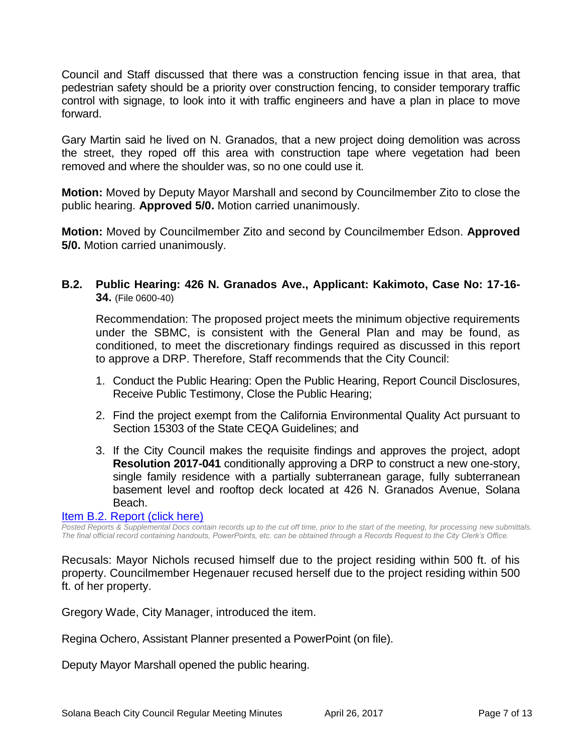Council and Staff discussed that there was a construction fencing issue in that area, that pedestrian safety should be a priority over construction fencing, to consider temporary traffic control with signage, to look into it with traffic engineers and have a plan in place to move forward.

Gary Martin said he lived on N. Granados, that a new project doing demolition was across the street, they roped off this area with construction tape where vegetation had been removed and where the shoulder was, so no one could use it.

**Motion:** Moved by Deputy Mayor Marshall and second by Councilmember Zito to close the public hearing. **Approved 5/0.** Motion carried unanimously.

**Motion:** Moved by Councilmember Zito and second by Councilmember Edson. **Approved 5/0.** Motion carried unanimously.

**B.2. Public Hearing: 426 N. Granados Ave., Applicant: Kakimoto, Case No: 17-16- 34.** (File 0600-40)

Recommendation: The proposed project meets the minimum objective requirements under the SBMC, is consistent with the General Plan and may be found, as conditioned, to meet the discretionary findings required as discussed in this report to approve a DRP. Therefore, Staff recommends that the City Council:

- 1. Conduct the Public Hearing: Open the Public Hearing, Report Council Disclosures, Receive Public Testimony, Close the Public Hearing;
- 2. Find the project exempt from the California Environmental Quality Act pursuant to Section 15303 of the State CEQA Guidelines; and
- 3. If the City Council makes the requisite findings and approves the project, adopt **Resolution 2017-041** conditionally approving a DRP to construct a new one-story, single family residence with a partially subterranean garage, fully subterranean basement level and rooftop deck located at 426 N. Granados Avenue, Solana Beach.

#### [Item B.2. Report \(click here\)](https://solanabeach.govoffice3.com/vertical/Sites/%7B840804C2-F869-4904-9AE3-720581350CE7%7D/uploads/Item_B.2._Report_(click_here)_4-26-17_-_R.pdf)

*Posted Reports & Supplemental Docs contain records up to the cut off time, prior to the start of the meeting, for processing new submittals. The final official record containing handouts, PowerPoints, etc. can be obtained through a Records Request to the City Clerk's Office.*

Recusals: Mayor Nichols recused himself due to the project residing within 500 ft. of his property. Councilmember Hegenauer recused herself due to the project residing within 500 ft. of her property.

Gregory Wade, City Manager, introduced the item.

Regina Ochero, Assistant Planner presented a PowerPoint (on file).

Deputy Mayor Marshall opened the public hearing.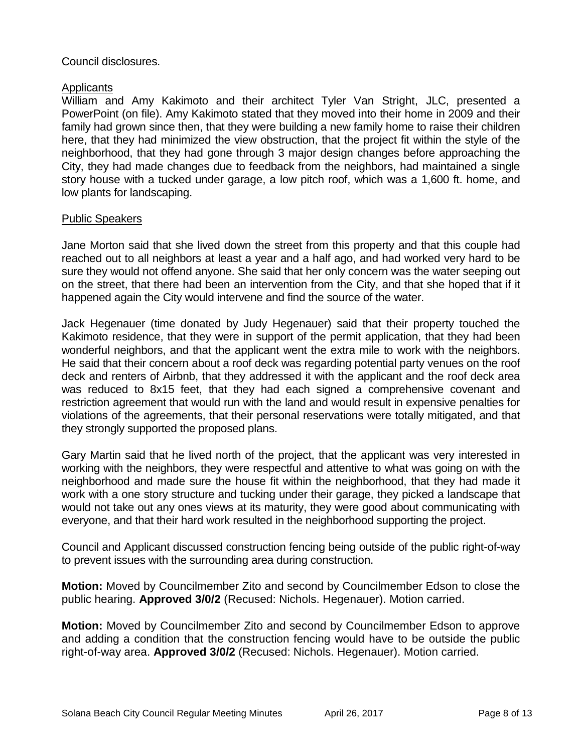# Council disclosures.

# **Applicants**

William and Amy Kakimoto and their architect Tyler Van Stright, JLC, presented a PowerPoint (on file). Amy Kakimoto stated that they moved into their home in 2009 and their family had grown since then, that they were building a new family home to raise their children here, that they had minimized the view obstruction, that the project fit within the style of the neighborhood, that they had gone through 3 major design changes before approaching the City, they had made changes due to feedback from the neighbors, had maintained a single story house with a tucked under garage, a low pitch roof, which was a 1,600 ft. home, and low plants for landscaping.

## Public Speakers

Jane Morton said that she lived down the street from this property and that this couple had reached out to all neighbors at least a year and a half ago, and had worked very hard to be sure they would not offend anyone. She said that her only concern was the water seeping out on the street, that there had been an intervention from the City, and that she hoped that if it happened again the City would intervene and find the source of the water.

Jack Hegenauer (time donated by Judy Hegenauer) said that their property touched the Kakimoto residence, that they were in support of the permit application, that they had been wonderful neighbors, and that the applicant went the extra mile to work with the neighbors. He said that their concern about a roof deck was regarding potential party venues on the roof deck and renters of Airbnb, that they addressed it with the applicant and the roof deck area was reduced to 8x15 feet, that they had each signed a comprehensive covenant and restriction agreement that would run with the land and would result in expensive penalties for violations of the agreements, that their personal reservations were totally mitigated, and that they strongly supported the proposed plans.

Gary Martin said that he lived north of the project, that the applicant was very interested in working with the neighbors, they were respectful and attentive to what was going on with the neighborhood and made sure the house fit within the neighborhood, that they had made it work with a one story structure and tucking under their garage, they picked a landscape that would not take out any ones views at its maturity, they were good about communicating with everyone, and that their hard work resulted in the neighborhood supporting the project.

Council and Applicant discussed construction fencing being outside of the public right-of-way to prevent issues with the surrounding area during construction.

**Motion:** Moved by Councilmember Zito and second by Councilmember Edson to close the public hearing. **Approved 3/0/2** (Recused: Nichols. Hegenauer). Motion carried.

**Motion:** Moved by Councilmember Zito and second by Councilmember Edson to approve and adding a condition that the construction fencing would have to be outside the public right-of-way area. **Approved 3/0/2** (Recused: Nichols. Hegenauer). Motion carried.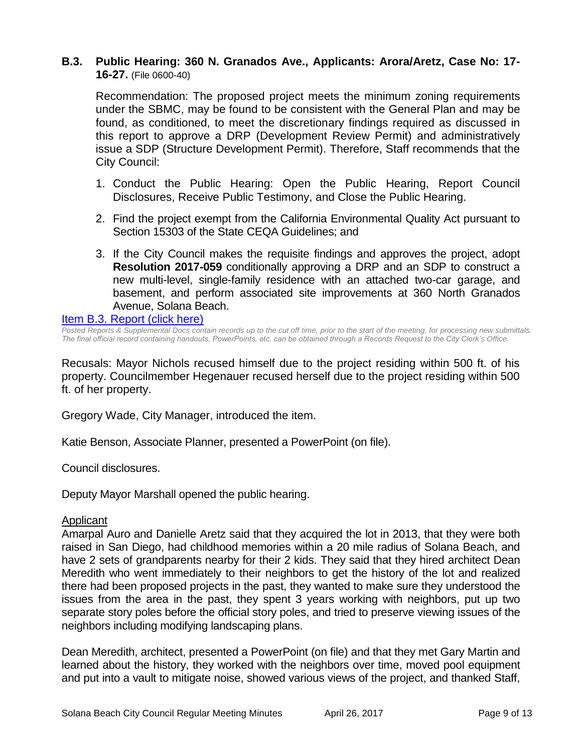# **B.3. Public Hearing: 360 N. Granados Ave., Applicants: Arora/Aretz, Case No: 17- 16-27.** (File 0600-40)

Recommendation: The proposed project meets the minimum zoning requirements under the SBMC, may be found to be consistent with the General Plan and may be found, as conditioned, to meet the discretionary findings required as discussed in this report to approve a DRP (Development Review Permit) and administratively issue a SDP (Structure Development Permit). Therefore, Staff recommends that the City Council:

- 1. Conduct the Public Hearing: Open the Public Hearing, Report Council Disclosures, Receive Public Testimony, and Close the Public Hearing.
- 2. Find the project exempt from the California Environmental Quality Act pursuant to Section 15303 of the State CEQA Guidelines; and
- 3. If the City Council makes the requisite findings and approves the project, adopt **Resolution 2017-059** conditionally approving a DRP and an SDP to construct a new multi-level, single-family residence with an attached two-car garage, and basement, and perform associated site improvements at 360 North Granados Avenue, Solana Beach.

#### [Item B.3. Report \(click here\)](https://solanabeach.govoffice3.com/vertical/Sites/%7B840804C2-F869-4904-9AE3-720581350CE7%7D/uploads/Item_B.3._Report_(click_here)_4-26-17.PDF)

*Posted Reports & Supplemental Docs contain records up to the cut off time, prior to the start of the meeting, for processing new submittals. The final official record containing handouts, PowerPoints, etc. can be obtained through a Records Request to the City Clerk's Office.*

Recusals: Mayor Nichols recused himself due to the project residing within 500 ft. of his property. Councilmember Hegenauer recused herself due to the project residing within 500 ft. of her property.

Gregory Wade, City Manager, introduced the item.

Katie Benson, Associate Planner, presented a PowerPoint (on file).

Council disclosures.

Deputy Mayor Marshall opened the public hearing.

#### Applicant

Amarpal Auro and Danielle Aretz said that they acquired the lot in 2013, that they were both raised in San Diego, had childhood memories within a 20 mile radius of Solana Beach, and have 2 sets of grandparents nearby for their 2 kids. They said that they hired architect Dean Meredith who went immediately to their neighbors to get the history of the lot and realized there had been proposed projects in the past, they wanted to make sure they understood the issues from the area in the past, they spent 3 years working with neighbors, put up two separate story poles before the official story poles, and tried to preserve viewing issues of the neighbors including modifying landscaping plans.

Dean Meredith, architect, presented a PowerPoint (on file) and that they met Gary Martin and learned about the history, they worked with the neighbors over time, moved pool equipment and put into a vault to mitigate noise, showed various views of the project, and thanked Staff,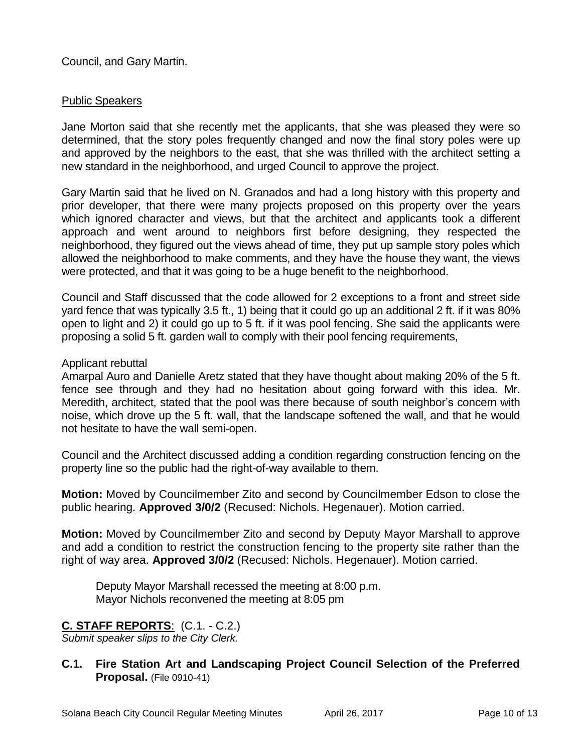Council, and Gary Martin.

# Public Speakers

Jane Morton said that she recently met the applicants, that she was pleased they were so determined, that the story poles frequently changed and now the final story poles were up and approved by the neighbors to the east, that she was thrilled with the architect setting a new standard in the neighborhood, and urged Council to approve the project.

Gary Martin said that he lived on N. Granados and had a long history with this property and prior developer, that there were many projects proposed on this property over the years which ignored character and views, but that the architect and applicants took a different approach and went around to neighbors first before designing, they respected the neighborhood, they figured out the views ahead of time, they put up sample story poles which allowed the neighborhood to make comments, and they have the house they want, the views were protected, and that it was going to be a huge benefit to the neighborhood.

Council and Staff discussed that the code allowed for 2 exceptions to a front and street side yard fence that was typically 3.5 ft., 1) being that it could go up an additional 2 ft. if it was 80% open to light and 2) it could go up to 5 ft. if it was pool fencing. She said the applicants were proposing a solid 5 ft. garden wall to comply with their pool fencing requirements,

# Applicant rebuttal

Amarpal Auro and Danielle Aretz stated that they have thought about making 20% of the 5 ft. fence see through and they had no hesitation about going forward with this idea. Mr. Meredith, architect, stated that the pool was there because of south neighbor's concern with noise, which drove up the 5 ft. wall, that the landscape softened the wall, and that he would not hesitate to have the wall semi-open.

Council and the Architect discussed adding a condition regarding construction fencing on the property line so the public had the right-of-way available to them.

**Motion:** Moved by Councilmember Zito and second by Councilmember Edson to close the public hearing. **Approved 3/0/2** (Recused: Nichols. Hegenauer). Motion carried.

**Motion:** Moved by Councilmember Zito and second by Deputy Mayor Marshall to approve and add a condition to restrict the construction fencing to the property site rather than the right of way area. **Approved 3/0/2** (Recused: Nichols. Hegenauer). Motion carried.

Deputy Mayor Marshall recessed the meeting at 8:00 p.m. Mayor Nichols reconvened the meeting at 8:05 pm

# **C. STAFF REPORTS**: (C.1. - C.2.)

*Submit speaker slips to the City Clerk.*

**C.1. Fire Station Art and Landscaping Project Council Selection of the Preferred Proposal.** (File 0910-41)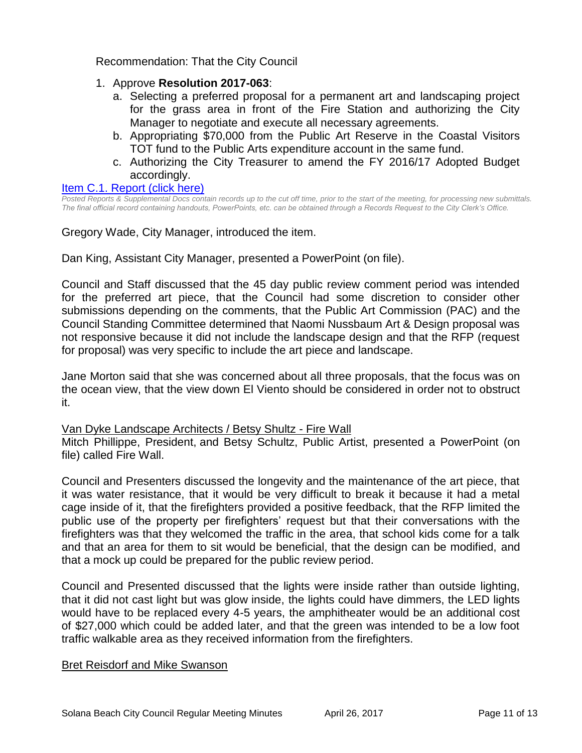Recommendation: That the City Council

- 1. Approve **Resolution 2017-063**:
	- a. Selecting a preferred proposal for a permanent art and landscaping project for the grass area in front of the Fire Station and authorizing the City Manager to negotiate and execute all necessary agreements.
	- b. Appropriating \$70,000 from the Public Art Reserve in the Coastal Visitors TOT fund to the Public Arts expenditure account in the same fund.
	- c. Authorizing the City Treasurer to amend the FY 2016/17 Adopted Budget accordingly.

#### [Item C.1. Report \(click here\)](https://solanabeach.govoffice3.com/vertical/Sites/%7B840804C2-F869-4904-9AE3-720581350CE7%7D/uploads/Item_C.1._Report_(click_here)_4-26-17.PDF)

*Posted Reports & Supplemental Docs contain records up to the cut off time, prior to the start of the meeting, for processing new submittals. The final official record containing handouts, PowerPoints, etc. can be obtained through a Records Request to the City Clerk's Office.*

Gregory Wade, City Manager, introduced the item.

Dan King, Assistant City Manager, presented a PowerPoint (on file).

Council and Staff discussed that the 45 day public review comment period was intended for the preferred art piece, that the Council had some discretion to consider other submissions depending on the comments, that the Public Art Commission (PAC) and the Council Standing Committee determined that Naomi Nussbaum Art & Design proposal was not responsive because it did not include the landscape design and that the RFP (request for proposal) was very specific to include the art piece and landscape.

Jane Morton said that she was concerned about all three proposals, that the focus was on the ocean view, that the view down El Viento should be considered in order not to obstruct it.

#### Van Dyke Landscape Architects / Betsy Shultz - Fire Wall

Mitch Phillippe, President, and Betsy Schultz, Public Artist, presented a PowerPoint (on file) called Fire Wall.

Council and Presenters discussed the longevity and the maintenance of the art piece, that it was water resistance, that it would be very difficult to break it because it had a metal cage inside of it, that the firefighters provided a positive feedback, that the RFP limited the public use of the property per firefighters' request but that their conversations with the firefighters was that they welcomed the traffic in the area, that school kids come for a talk and that an area for them to sit would be beneficial, that the design can be modified, and that a mock up could be prepared for the public review period.

Council and Presented discussed that the lights were inside rather than outside lighting, that it did not cast light but was glow inside, the lights could have dimmers, the LED lights would have to be replaced every 4-5 years, the amphitheater would be an additional cost of \$27,000 which could be added later, and that the green was intended to be a low foot traffic walkable area as they received information from the firefighters.

#### Bret Reisdorf and Mike Swanson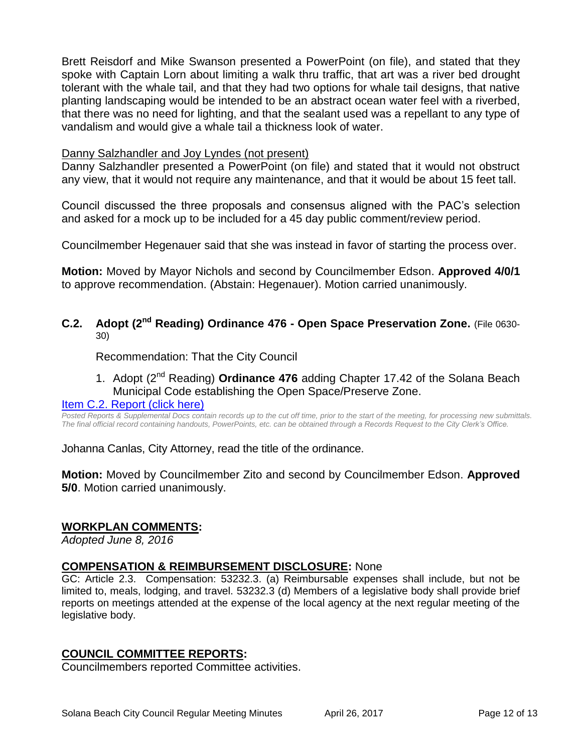Brett Reisdorf and Mike Swanson presented a PowerPoint (on file), and stated that they spoke with Captain Lorn about limiting a walk thru traffic, that art was a river bed drought tolerant with the whale tail, and that they had two options for whale tail designs, that native planting landscaping would be intended to be an abstract ocean water feel with a riverbed, that there was no need for lighting, and that the sealant used was a repellant to any type of vandalism and would give a whale tail a thickness look of water.

#### Danny Salzhandler and Joy Lyndes (not present)

Danny Salzhandler presented a PowerPoint (on file) and stated that it would not obstruct any view, that it would not require any maintenance, and that it would be about 15 feet tall.

Council discussed the three proposals and consensus aligned with the PAC's selection and asked for a mock up to be included for a 45 day public comment/review period.

Councilmember Hegenauer said that she was instead in favor of starting the process over.

**Motion:** Moved by Mayor Nichols and second by Councilmember Edson. **Approved 4/0/1**  to approve recommendation. (Abstain: Hegenauer). Motion carried unanimously.

**C.2. Adopt (2nd Reading) Ordinance 476 - Open Space Preservation Zone.** (File 0630- 30)

Recommendation: That the City Council

1. Adopt (2<sup>nd</sup> Reading) **Ordinance 476** adding Chapter 17.42 of the Solana Beach Municipal Code establishing the Open Space/Preserve Zone.

# [Item C.2. Report \(click here\)](https://solanabeach.govoffice3.com/vertical/Sites/%7B840804C2-F869-4904-9AE3-720581350CE7%7D/uploads/Item_C.2._Report_(click_here)_4-26-17.PDF)

*Posted Reports & Supplemental Docs contain records up to the cut off time, prior to the start of the meeting, for processing new submittals. The final official record containing handouts, PowerPoints, etc. can be obtained through a Records Request to the City Clerk's Office.*

Johanna Canlas, City Attorney, read the title of the ordinance.

**Motion:** Moved by Councilmember Zito and second by Councilmember Edson. **Approved 5/0**. Motion carried unanimously.

# **WORKPLAN COMMENTS:**

*Adopted June 8, 2016*

#### **COMPENSATION & REIMBURSEMENT DISCLOSURE:** None

GC: Article 2.3. Compensation: 53232.3. (a) Reimbursable expenses shall include, but not be limited to, meals, lodging, and travel. 53232.3 (d) Members of a legislative body shall provide brief reports on meetings attended at the expense of the local agency at the next regular meeting of the legislative body.

# **COUNCIL COMMITTEE REPORTS:**

Councilmembers reported Committee activities.